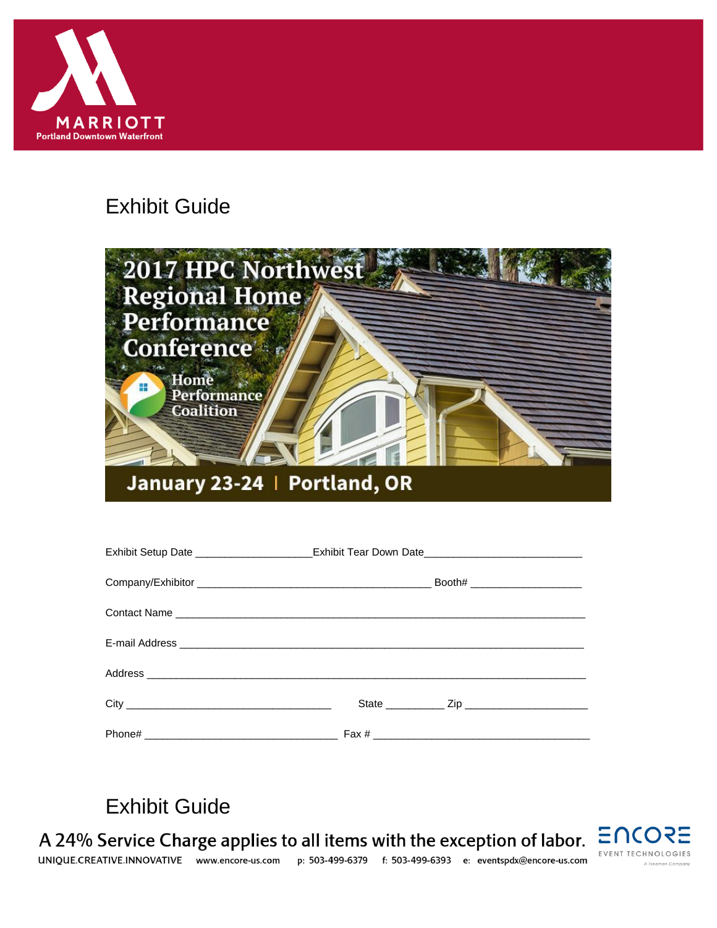

# **Exhibit Guide**



| Exhibit Setup Date ________________________Exhibit Tear Down Date__________________________________ |  |  |  |
|-----------------------------------------------------------------------------------------------------|--|--|--|
|                                                                                                     |  |  |  |
|                                                                                                     |  |  |  |
|                                                                                                     |  |  |  |
|                                                                                                     |  |  |  |
|                                                                                                     |  |  |  |
|                                                                                                     |  |  |  |

# **Exhibit Guide**

A 24% Service Charge applies to all items with the exception of labor.



UNIOUE.CREATIVE.INNOVATIVE www.encore-us.com p: 503-499-6379 f: 503-499-6393 e: eventspdx@encore-us.com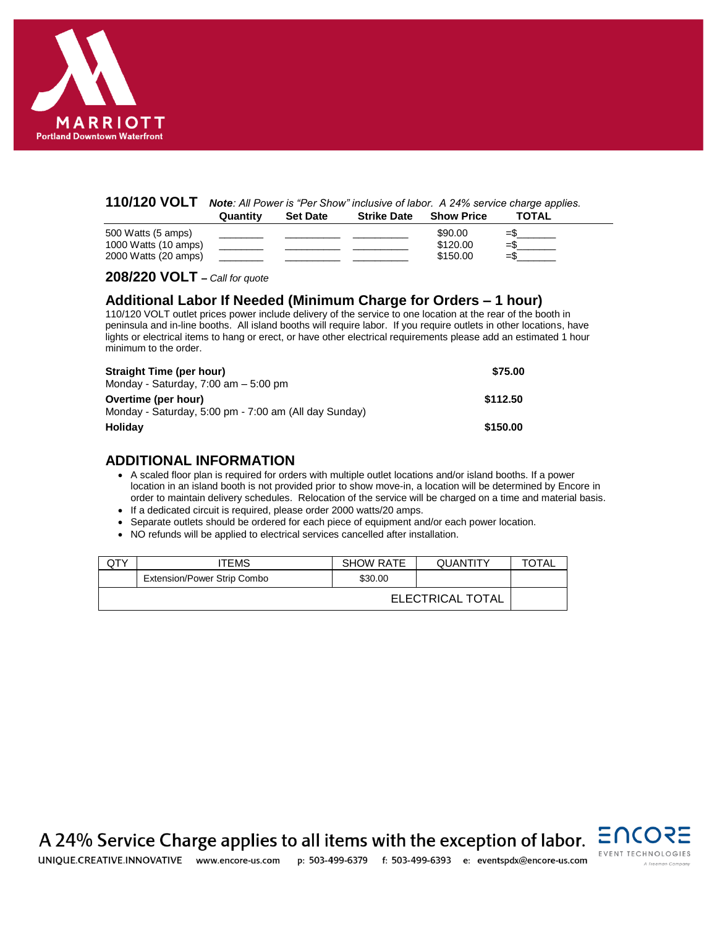

#### **110/120 VOLT** *Note: All Power is "Per Show" inclusive of labor. A 24% service charge applies.* **Quantity Set Date Strike Date Show Price TOTAL**

|                                              | 1.111111 | www.co | UU IIW PUW | <u>UNUM I IV</u>     | .         |
|----------------------------------------------|----------|--------|------------|----------------------|-----------|
| 500 Watts (5 amps)                           |          |        |            | \$90.00              | $=$       |
| 1000 Watts (10 amps)<br>2000 Watts (20 amps) |          |        |            | \$120.00<br>\$150.00 | ∴=<br>-۶£ |
|                                              |          |        |            |                      |           |

**208/220 VOLT –** *Call for quote*

### **Additional Labor If Needed (Minimum Charge for Orders – 1 hour)**

110/120 VOLT outlet prices power include delivery of the service to one location at the rear of the booth in peninsula and in-line booths. All island booths will require labor. If you require outlets in other locations, have lights or electrical items to hang or erect, or have other electrical requirements please add an estimated 1 hour minimum to the order.

| Straight Time (per hour)                              | \$75.00  |
|-------------------------------------------------------|----------|
| Monday - Saturday, $7:00$ am $-5:00$ pm               |          |
| Overtime (per hour)                                   | \$112.50 |
| Monday - Saturday, 5:00 pm - 7:00 am (All day Sunday) |          |
| <b>Holidav</b>                                        | \$150.00 |

### **ADDITIONAL INFORMATION**

- A scaled floor plan is required for orders with multiple outlet locations and/or island booths. If a power location in an island booth is not provided prior to show move-in, a location will be determined by Encore in order to maintain delivery schedules. Relocation of the service will be charged on a time and material basis.
- If a dedicated circuit is required, please order 2000 watts/20 amps.
- Separate outlets should be ordered for each piece of equipment and/or each power location.
- NO refunds will be applied to electrical services cancelled after installation.

| QTY              | ITEMS                       | <b>SHOW RATE</b> | <b>QUANTITY</b> | TOTAL |
|------------------|-----------------------------|------------------|-----------------|-------|
|                  | Extension/Power Strip Combo | \$30.00          |                 |       |
| ELECTRICAL TOTAL |                             |                  |                 |       |

A 24% Service Charge applies to all items with the exception of labor. UNIOUE.CREATIVE.INNOVATIVE www.encore-us.com p: 503-499-6379 f: 503-499-6393 e: eventspdx@encore-us.com

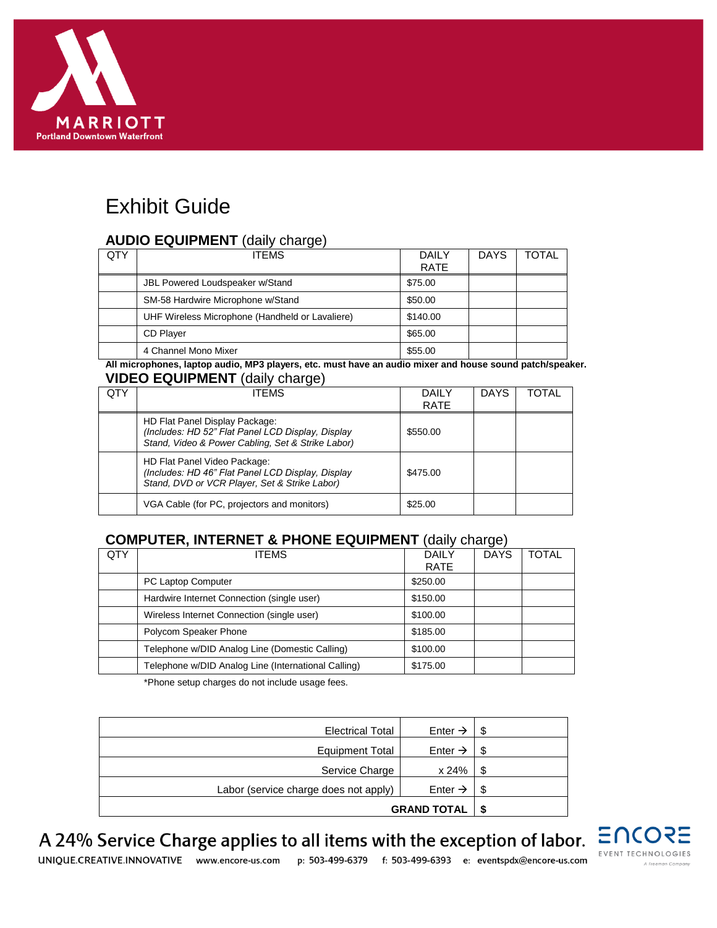

# Exhibit Guide

### **AUDIO EQUIPMENT** (daily charge)

| QTY | <b>ITEMS</b>                                    | DAILY       | <b>DAYS</b> | TOTAL |
|-----|-------------------------------------------------|-------------|-------------|-------|
|     |                                                 | <b>RATE</b> |             |       |
|     | JBL Powered Loudspeaker w/Stand                 | \$75.00     |             |       |
|     | SM-58 Hardwire Microphone w/Stand               | \$50.00     |             |       |
|     | UHF Wireless Microphone (Handheld or Lavaliere) | \$140.00    |             |       |
|     | <b>CD Player</b>                                | \$65.00     |             |       |
|     | 4 Channel Mono Mixer                            | \$55.00     |             |       |

**All microphones, laptop audio, MP3 players, etc. must have an audio mixer and house sound patch/speaker. VIDEO EQUIPMENT** (daily charge)

| QTY | <b>ITEMS</b>                                                                                                                             | DAILY<br><b>RATE</b> | <b>DAYS</b> | TOTAL |
|-----|------------------------------------------------------------------------------------------------------------------------------------------|----------------------|-------------|-------|
|     | HD Flat Panel Display Package:<br>(Includes: HD 52" Flat Panel LCD Display, Display<br>Stand, Video & Power Cabling, Set & Strike Labor) | \$550.00             |             |       |
|     | HD Flat Panel Video Package:<br>(Includes: HD 46" Flat Panel LCD Display, Display<br>Stand, DVD or VCR Player, Set & Strike Labor)       | \$475.00             |             |       |
|     | VGA Cable (for PC, projectors and monitors)                                                                                              | \$25.00              |             |       |

### **COMPUTER, INTERNET & PHONE EQUIPMENT** (daily charge)

| QTY | <b>ITEMS</b>                                        | <b>DAILY</b><br><b>RATE</b> | <b>DAYS</b> | <b>TOTAL</b> |
|-----|-----------------------------------------------------|-----------------------------|-------------|--------------|
|     | PC Laptop Computer                                  | \$250.00                    |             |              |
|     | Hardwire Internet Connection (single user)          | \$150.00                    |             |              |
|     | Wireless Internet Connection (single user)          | \$100.00                    |             |              |
|     | Polycom Speaker Phone                               | \$185.00                    |             |              |
|     | Telephone w/DID Analog Line (Domestic Calling)      | \$100.00                    |             |              |
|     | Telephone w/DID Analog Line (International Calling) | \$175.00                    |             |              |

\*Phone setup charges do not include usage fees.

| <b>Electrical Total</b>               | Enter $\rightarrow$ | S   |
|---------------------------------------|---------------------|-----|
| <b>Equipment Total</b>                | Enter $\rightarrow$ | \$. |
| Service Charge                        | x 24%               | \$. |
| Labor (service charge does not apply) | Enter $\rightarrow$ | \$  |
| <b>GRAND TOTAL</b>                    |                     |     |



A 24% Service Charge applies to all items with the exception of labor.

UNIOUE.CREATIVE.INNOVATIVE www.encore-us.com p: 503-499-6379 f: 503-499-6393 e: eventspdx@encore-us.com